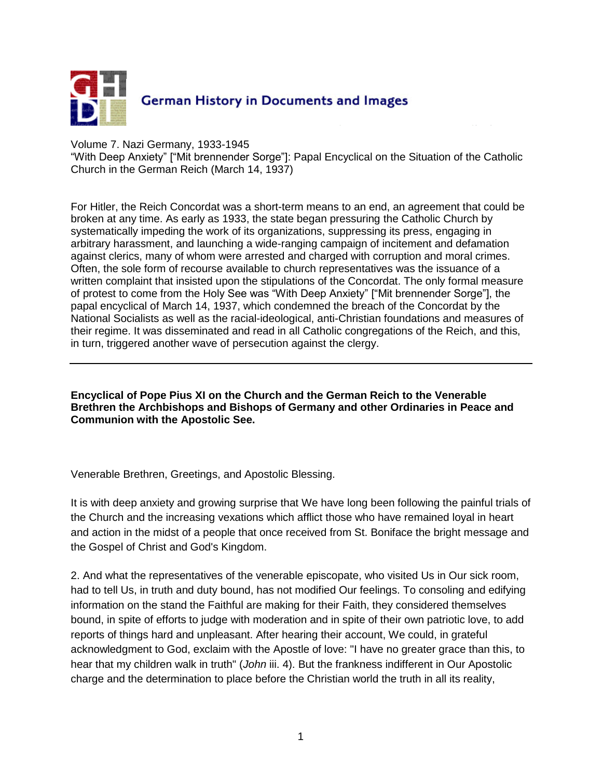

Volume 7. Nazi Germany, 1933-1945

"With Deep Anxiety" ["Mit brennender Sorge"]: Papal Encyclical on the Situation of the Catholic Church in the German Reich (March 14, 1937)

For Hitler, the Reich Concordat was a short-term means to an end, an agreement that could be broken at any time. As early as 1933, the state began pressuring the Catholic Church by systematically impeding the work of its organizations, suppressing its press, engaging in arbitrary harassment, and launching a wide-ranging campaign of incitement and defamation against clerics, many of whom were arrested and charged with corruption and moral crimes. Often, the sole form of recourse available to church representatives was the issuance of a written complaint that insisted upon the stipulations of the Concordat. The only formal measure of protest to come from the Holy See was "With Deep Anxiety" ["Mit brennender Sorge"], the papal encyclical of March 14, 1937, which condemned the breach of the Concordat by the National Socialists as well as the racial-ideological, anti-Christian foundations and measures of their regime. It was disseminated and read in all Catholic congregations of the Reich, and this, in turn, triggered another wave of persecution against the clergy.

**Encyclical of Pope Pius XI on the Church and the German Reich to the Venerable Brethren the Archbishops and Bishops of Germany and other Ordinaries in Peace and Communion with the Apostolic See.** 

Venerable Brethren, Greetings, and Apostolic Blessing.

It is with deep anxiety and growing surprise that We have long been following the painful trials of the Church and the increasing vexations which afflict those who have remained loyal in heart and action in the midst of a people that once received from St. Boniface the bright message and the Gospel of Christ and God's Kingdom.

2. And what the representatives of the venerable episcopate, who visited Us in Our sick room, had to tell Us, in truth and duty bound, has not modified Our feelings. To consoling and edifying information on the stand the Faithful are making for their Faith, they considered themselves bound, in spite of efforts to judge with moderation and in spite of their own patriotic love, to add reports of things hard and unpleasant. After hearing their account, We could, in grateful acknowledgment to God, exclaim with the Apostle of love: "I have no greater grace than this, to hear that my children walk in truth" (*John* iii. 4). But the frankness indifferent in Our Apostolic charge and the determination to place before the Christian world the truth in all its reality,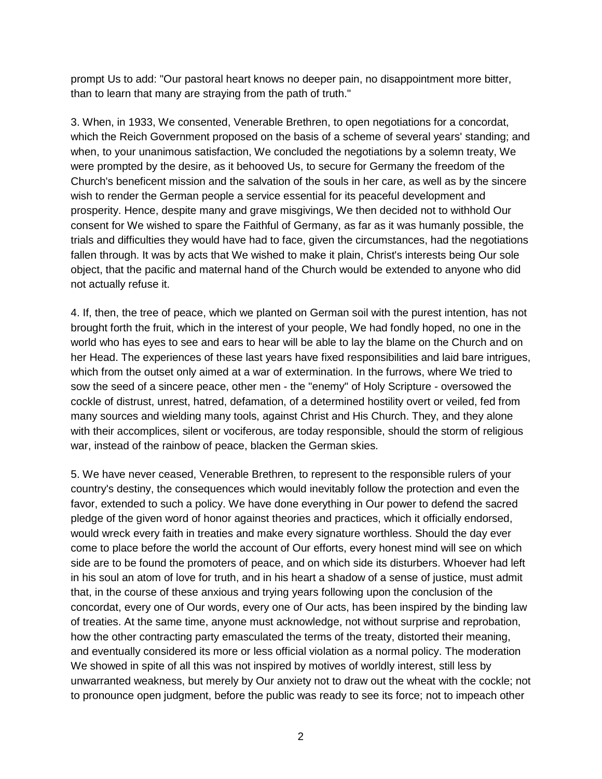prompt Us to add: "Our pastoral heart knows no deeper pain, no disappointment more bitter, than to learn that many are straying from the path of truth."

3. When, in 1933, We consented, Venerable Brethren, to open negotiations for a concordat, which the Reich Government proposed on the basis of a scheme of several years' standing; and when, to your unanimous satisfaction, We concluded the negotiations by a solemn treaty, We were prompted by the desire, as it behooved Us, to secure for Germany the freedom of the Church's beneficent mission and the salvation of the souls in her care, as well as by the sincere wish to render the German people a service essential for its peaceful development and prosperity. Hence, despite many and grave misgivings, We then decided not to withhold Our consent for We wished to spare the Faithful of Germany, as far as it was humanly possible, the trials and difficulties they would have had to face, given the circumstances, had the negotiations fallen through. It was by acts that We wished to make it plain, Christ's interests being Our sole object, that the pacific and maternal hand of the Church would be extended to anyone who did not actually refuse it.

4. If, then, the tree of peace, which we planted on German soil with the purest intention, has not brought forth the fruit, which in the interest of your people, We had fondly hoped, no one in the world who has eyes to see and ears to hear will be able to lay the blame on the Church and on her Head. The experiences of these last years have fixed responsibilities and laid bare intrigues, which from the outset only aimed at a war of extermination. In the furrows, where We tried to sow the seed of a sincere peace, other men - the "enemy" of Holy Scripture - oversowed the cockle of distrust, unrest, hatred, defamation, of a determined hostility overt or veiled, fed from many sources and wielding many tools, against Christ and His Church. They, and they alone with their accomplices, silent or vociferous, are today responsible, should the storm of religious war, instead of the rainbow of peace, blacken the German skies.

5. We have never ceased, Venerable Brethren, to represent to the responsible rulers of your country's destiny, the consequences which would inevitably follow the protection and even the favor, extended to such a policy. We have done everything in Our power to defend the sacred pledge of the given word of honor against theories and practices, which it officially endorsed, would wreck every faith in treaties and make every signature worthless. Should the day ever come to place before the world the account of Our efforts, every honest mind will see on which side are to be found the promoters of peace, and on which side its disturbers. Whoever had left in his soul an atom of love for truth, and in his heart a shadow of a sense of justice, must admit that, in the course of these anxious and trying years following upon the conclusion of the concordat, every one of Our words, every one of Our acts, has been inspired by the binding law of treaties. At the same time, anyone must acknowledge, not without surprise and reprobation, how the other contracting party emasculated the terms of the treaty, distorted their meaning, and eventually considered its more or less official violation as a normal policy. The moderation We showed in spite of all this was not inspired by motives of worldly interest, still less by unwarranted weakness, but merely by Our anxiety not to draw out the wheat with the cockle; not to pronounce open judgment, before the public was ready to see its force; not to impeach other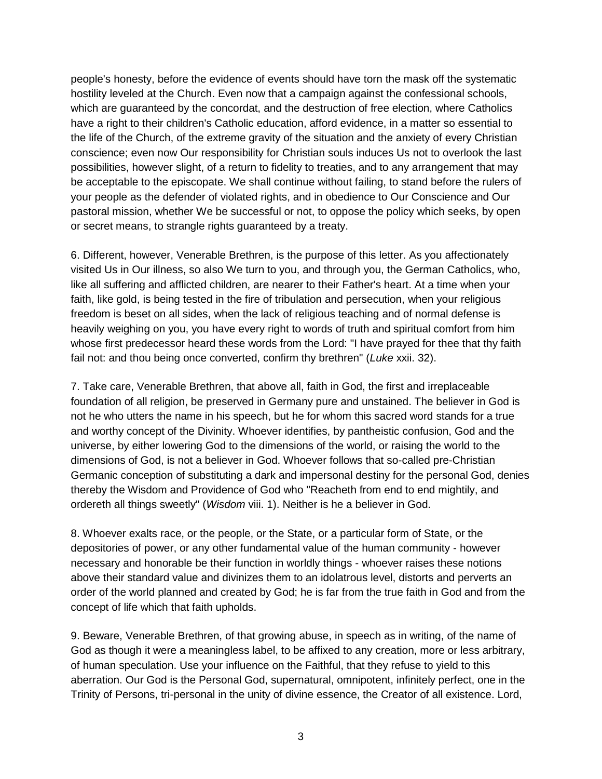people's honesty, before the evidence of events should have torn the mask off the systematic hostility leveled at the Church. Even now that a campaign against the confessional schools, which are guaranteed by the concordat, and the destruction of free election, where Catholics have a right to their children's Catholic education, afford evidence, in a matter so essential to the life of the Church, of the extreme gravity of the situation and the anxiety of every Christian conscience; even now Our responsibility for Christian souls induces Us not to overlook the last possibilities, however slight, of a return to fidelity to treaties, and to any arrangement that may be acceptable to the episcopate. We shall continue without failing, to stand before the rulers of your people as the defender of violated rights, and in obedience to Our Conscience and Our pastoral mission, whether We be successful or not, to oppose the policy which seeks, by open or secret means, to strangle rights guaranteed by a treaty.

6. Different, however, Venerable Brethren, is the purpose of this letter. As you affectionately visited Us in Our illness, so also We turn to you, and through you, the German Catholics, who, like all suffering and afflicted children, are nearer to their Father's heart. At a time when your faith, like gold, is being tested in the fire of tribulation and persecution, when your religious freedom is beset on all sides, when the lack of religious teaching and of normal defense is heavily weighing on you, you have every right to words of truth and spiritual comfort from him whose first predecessor heard these words from the Lord: "I have prayed for thee that thy faith fail not: and thou being once converted, confirm thy brethren" (*Luke* xxii. 32).

7. Take care, Venerable Brethren, that above all, faith in God, the first and irreplaceable foundation of all religion, be preserved in Germany pure and unstained. The believer in God is not he who utters the name in his speech, but he for whom this sacred word stands for a true and worthy concept of the Divinity. Whoever identifies, by pantheistic confusion, God and the universe, by either lowering God to the dimensions of the world, or raising the world to the dimensions of God, is not a believer in God. Whoever follows that so-called pre-Christian Germanic conception of substituting a dark and impersonal destiny for the personal God, denies thereby the Wisdom and Providence of God who "Reacheth from end to end mightily, and ordereth all things sweetly" (*Wisdom* viii. 1). Neither is he a believer in God.

8. Whoever exalts race, or the people, or the State, or a particular form of State, or the depositories of power, or any other fundamental value of the human community - however necessary and honorable be their function in worldly things - whoever raises these notions above their standard value and divinizes them to an idolatrous level, distorts and perverts an order of the world planned and created by God; he is far from the true faith in God and from the concept of life which that faith upholds.

9. Beware, Venerable Brethren, of that growing abuse, in speech as in writing, of the name of God as though it were a meaningless label, to be affixed to any creation, more or less arbitrary, of human speculation. Use your influence on the Faithful, that they refuse to yield to this aberration. Our God is the Personal God, supernatural, omnipotent, infinitely perfect, one in the Trinity of Persons, tri-personal in the unity of divine essence, the Creator of all existence. Lord,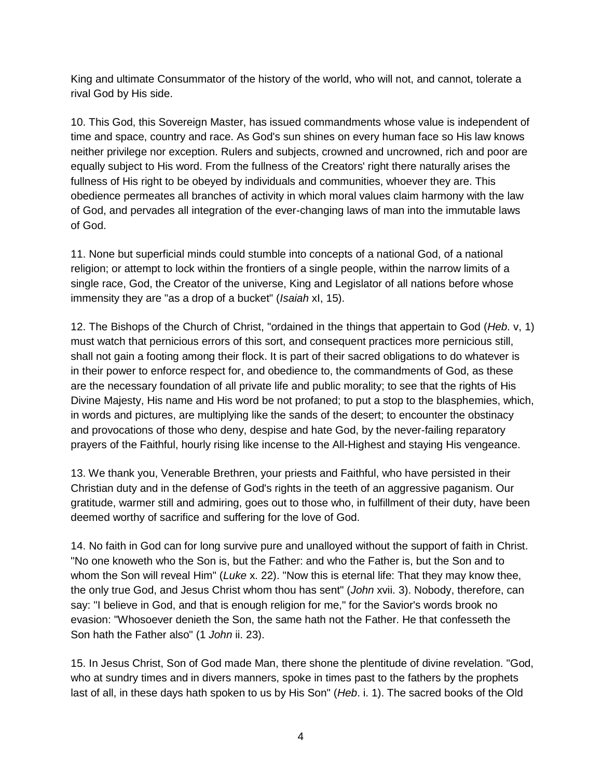King and ultimate Consummator of the history of the world, who will not, and cannot, tolerate a rival God by His side.

10. This God, this Sovereign Master, has issued commandments whose value is independent of time and space, country and race. As God's sun shines on every human face so His law knows neither privilege nor exception. Rulers and subjects, crowned and uncrowned, rich and poor are equally subject to His word. From the fullness of the Creators' right there naturally arises the fullness of His right to be obeyed by individuals and communities, whoever they are. This obedience permeates all branches of activity in which moral values claim harmony with the law of God, and pervades all integration of the ever-changing laws of man into the immutable laws of God.

11. None but superficial minds could stumble into concepts of a national God, of a national religion; or attempt to lock within the frontiers of a single people, within the narrow limits of a single race, God, the Creator of the universe, King and Legislator of all nations before whose immensity they are "as a drop of a bucket" (*Isaiah* xI, 15).

12. The Bishops of the Church of Christ, "ordained in the things that appertain to God (*Heb*. v, 1) must watch that pernicious errors of this sort, and consequent practices more pernicious still, shall not gain a footing among their flock. It is part of their sacred obligations to do whatever is in their power to enforce respect for, and obedience to, the commandments of God, as these are the necessary foundation of all private life and public morality; to see that the rights of His Divine Majesty, His name and His word be not profaned; to put a stop to the blasphemies, which, in words and pictures, are multiplying like the sands of the desert; to encounter the obstinacy and provocations of those who deny, despise and hate God, by the never-failing reparatory prayers of the Faithful, hourly rising like incense to the All-Highest and staying His vengeance.

13. We thank you, Venerable Brethren, your priests and Faithful, who have persisted in their Christian duty and in the defense of God's rights in the teeth of an aggressive paganism. Our gratitude, warmer still and admiring, goes out to those who, in fulfillment of their duty, have been deemed worthy of sacrifice and suffering for the love of God.

14. No faith in God can for long survive pure and unalloyed without the support of faith in Christ. "No one knoweth who the Son is, but the Father: and who the Father is, but the Son and to whom the Son will reveal Him" (*Luke* x. 22). "Now this is eternal life: That they may know thee, the only true God, and Jesus Christ whom thou has sent" (*John* xvii. 3). Nobody, therefore, can say: "I believe in God, and that is enough religion for me," for the Savior's words brook no evasion: "Whosoever denieth the Son, the same hath not the Father. He that confesseth the Son hath the Father also" (1 *John* ii. 23).

15. In Jesus Christ, Son of God made Man, there shone the plentitude of divine revelation. "God, who at sundry times and in divers manners, spoke in times past to the fathers by the prophets last of all, in these days hath spoken to us by His Son" (*Heb*. i. 1). The sacred books of the Old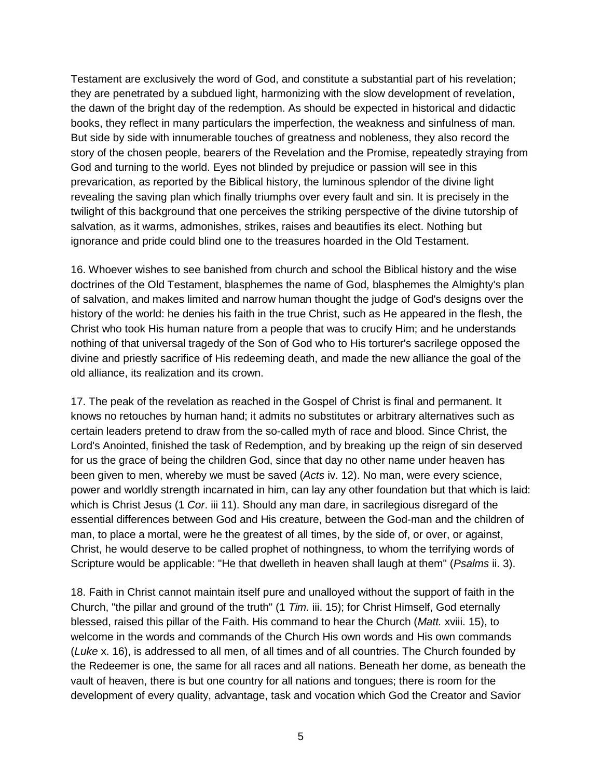Testament are exclusively the word of God, and constitute a substantial part of his revelation; they are penetrated by a subdued light, harmonizing with the slow development of revelation, the dawn of the bright day of the redemption. As should be expected in historical and didactic books, they reflect in many particulars the imperfection, the weakness and sinfulness of man. But side by side with innumerable touches of greatness and nobleness, they also record the story of the chosen people, bearers of the Revelation and the Promise, repeatedly straying from God and turning to the world. Eyes not blinded by prejudice or passion will see in this prevarication, as reported by the Biblical history, the luminous splendor of the divine light revealing the saving plan which finally triumphs over every fault and sin. It is precisely in the twilight of this background that one perceives the striking perspective of the divine tutorship of salvation, as it warms, admonishes, strikes, raises and beautifies its elect. Nothing but ignorance and pride could blind one to the treasures hoarded in the Old Testament.

16. Whoever wishes to see banished from church and school the Biblical history and the wise doctrines of the Old Testament, blasphemes the name of God, blasphemes the Almighty's plan of salvation, and makes limited and narrow human thought the judge of God's designs over the history of the world: he denies his faith in the true Christ, such as He appeared in the flesh, the Christ who took His human nature from a people that was to crucify Him; and he understands nothing of that universal tragedy of the Son of God who to His torturer's sacrilege opposed the divine and priestly sacrifice of His redeeming death, and made the new alliance the goal of the old alliance, its realization and its crown.

17. The peak of the revelation as reached in the Gospel of Christ is final and permanent. It knows no retouches by human hand; it admits no substitutes or arbitrary alternatives such as certain leaders pretend to draw from the so-called myth of race and blood. Since Christ, the Lord's Anointed, finished the task of Redemption, and by breaking up the reign of sin deserved for us the grace of being the children God, since that day no other name under heaven has been given to men, whereby we must be saved (*Acts* iv. 12). No man, were every science, power and worldly strength incarnated in him, can lay any other foundation but that which is laid: which is Christ Jesus (1 *Cor*. iii 11). Should any man dare, in sacrilegious disregard of the essential differences between God and His creature, between the God-man and the children of man, to place a mortal, were he the greatest of all times, by the side of, or over, or against, Christ, he would deserve to be called prophet of nothingness, to whom the terrifying words of Scripture would be applicable: "He that dwelleth in heaven shall laugh at them" (*Psalms* ii. 3).

18. Faith in Christ cannot maintain itself pure and unalloyed without the support of faith in the Church, "the pillar and ground of the truth" (1 *Tim.* iii. 15); for Christ Himself, God eternally blessed, raised this pillar of the Faith. His command to hear the Church (*Matt.* xviii. 15), to welcome in the words and commands of the Church His own words and His own commands (*Luke* x. 16), is addressed to all men, of all times and of all countries. The Church founded by the Redeemer is one, the same for all races and all nations. Beneath her dome, as beneath the vault of heaven, there is but one country for all nations and tongues; there is room for the development of every quality, advantage, task and vocation which God the Creator and Savior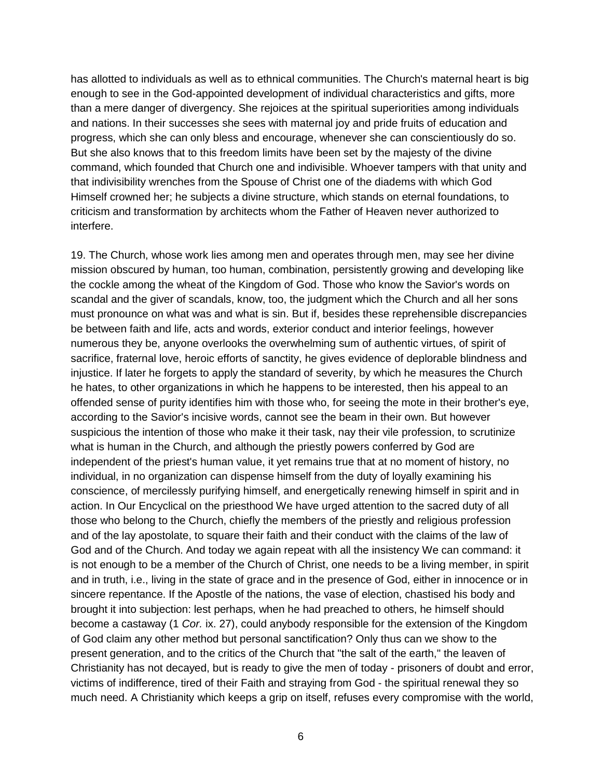has allotted to individuals as well as to ethnical communities. The Church's maternal heart is big enough to see in the God-appointed development of individual characteristics and gifts, more than a mere danger of divergency. She rejoices at the spiritual superiorities among individuals and nations. In their successes she sees with maternal joy and pride fruits of education and progress, which she can only bless and encourage, whenever she can conscientiously do so. But she also knows that to this freedom limits have been set by the majesty of the divine command, which founded that Church one and indivisible. Whoever tampers with that unity and that indivisibility wrenches from the Spouse of Christ one of the diadems with which God Himself crowned her; he subjects a divine structure, which stands on eternal foundations, to criticism and transformation by architects whom the Father of Heaven never authorized to interfere.

19. The Church, whose work lies among men and operates through men, may see her divine mission obscured by human, too human, combination, persistently growing and developing like the cockle among the wheat of the Kingdom of God. Those who know the Savior's words on scandal and the giver of scandals, know, too, the judgment which the Church and all her sons must pronounce on what was and what is sin. But if, besides these reprehensible discrepancies be between faith and life, acts and words, exterior conduct and interior feelings, however numerous they be, anyone overlooks the overwhelming sum of authentic virtues, of spirit of sacrifice, fraternal love, heroic efforts of sanctity, he gives evidence of deplorable blindness and injustice. If later he forgets to apply the standard of severity, by which he measures the Church he hates, to other organizations in which he happens to be interested, then his appeal to an offended sense of purity identifies him with those who, for seeing the mote in their brother's eye, according to the Savior's incisive words, cannot see the beam in their own. But however suspicious the intention of those who make it their task, nay their vile profession, to scrutinize what is human in the Church, and although the priestly powers conferred by God are independent of the priest's human value, it yet remains true that at no moment of history, no individual, in no organization can dispense himself from the duty of loyally examining his conscience, of mercilessly purifying himself, and energetically renewing himself in spirit and in action. In Our Encyclical on the priesthood We have urged attention to the sacred duty of all those who belong to the Church, chiefly the members of the priestly and religious profession and of the lay apostolate, to square their faith and their conduct with the claims of the law of God and of the Church. And today we again repeat with all the insistency We can command: it is not enough to be a member of the Church of Christ, one needs to be a living member, in spirit and in truth, i.e., living in the state of grace and in the presence of God, either in innocence or in sincere repentance. If the Apostle of the nations, the vase of election, chastised his body and brought it into subjection: lest perhaps, when he had preached to others, he himself should become a castaway (1 *Cor.* ix. 27), could anybody responsible for the extension of the Kingdom of God claim any other method but personal sanctification? Only thus can we show to the present generation, and to the critics of the Church that "the salt of the earth," the leaven of Christianity has not decayed, but is ready to give the men of today - prisoners of doubt and error, victims of indifference, tired of their Faith and straying from God - the spiritual renewal they so much need. A Christianity which keeps a grip on itself, refuses every compromise with the world,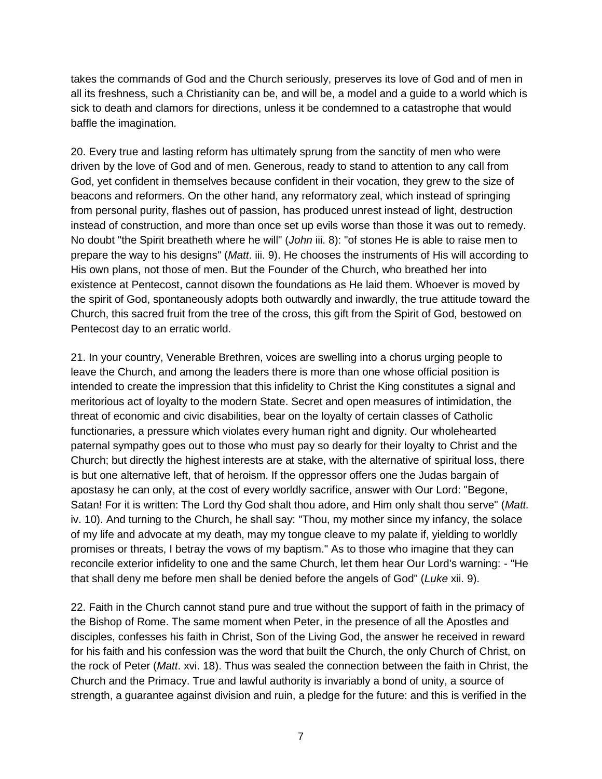takes the commands of God and the Church seriously, preserves its love of God and of men in all its freshness, such a Christianity can be, and will be, a model and a guide to a world which is sick to death and clamors for directions, unless it be condemned to a catastrophe that would baffle the imagination.

20. Every true and lasting reform has ultimately sprung from the sanctity of men who were driven by the love of God and of men. Generous, ready to stand to attention to any call from God, yet confident in themselves because confident in their vocation, they grew to the size of beacons and reformers. On the other hand, any reformatory zeal, which instead of springing from personal purity, flashes out of passion, has produced unrest instead of light, destruction instead of construction, and more than once set up evils worse than those it was out to remedy. No doubt "the Spirit breatheth where he will" (*John* iii. 8): "of stones He is able to raise men to prepare the way to his designs" (*Matt*. iii. 9). He chooses the instruments of His will according to His own plans, not those of men. But the Founder of the Church, who breathed her into existence at Pentecost, cannot disown the foundations as He laid them. Whoever is moved by the spirit of God, spontaneously adopts both outwardly and inwardly, the true attitude toward the Church, this sacred fruit from the tree of the cross, this gift from the Spirit of God, bestowed on Pentecost day to an erratic world.

21. In your country, Venerable Brethren, voices are swelling into a chorus urging people to leave the Church, and among the leaders there is more than one whose official position is intended to create the impression that this infidelity to Christ the King constitutes a signal and meritorious act of loyalty to the modern State. Secret and open measures of intimidation, the threat of economic and civic disabilities, bear on the loyalty of certain classes of Catholic functionaries, a pressure which violates every human right and dignity. Our wholehearted paternal sympathy goes out to those who must pay so dearly for their loyalty to Christ and the Church; but directly the highest interests are at stake, with the alternative of spiritual loss, there is but one alternative left, that of heroism. If the oppressor offers one the Judas bargain of apostasy he can only, at the cost of every worldly sacrifice, answer with Our Lord: "Begone, Satan! For it is written: The Lord thy God shalt thou adore, and Him only shalt thou serve" (*Matt.* iv. 10). And turning to the Church, he shall say: "Thou, my mother since my infancy, the solace of my life and advocate at my death, may my tongue cleave to my palate if, yielding to worldly promises or threats, I betray the vows of my baptism." As to those who imagine that they can reconcile exterior infidelity to one and the same Church, let them hear Our Lord's warning: - "He that shall deny me before men shall be denied before the angels of God" (*Luke* xii. 9).

22. Faith in the Church cannot stand pure and true without the support of faith in the primacy of the Bishop of Rome. The same moment when Peter, in the presence of all the Apostles and disciples, confesses his faith in Christ, Son of the Living God, the answer he received in reward for his faith and his confession was the word that built the Church, the only Church of Christ, on the rock of Peter (*Matt*. xvi. 18). Thus was sealed the connection between the faith in Christ, the Church and the Primacy. True and lawful authority is invariably a bond of unity, a source of strength, a guarantee against division and ruin, a pledge for the future: and this is verified in the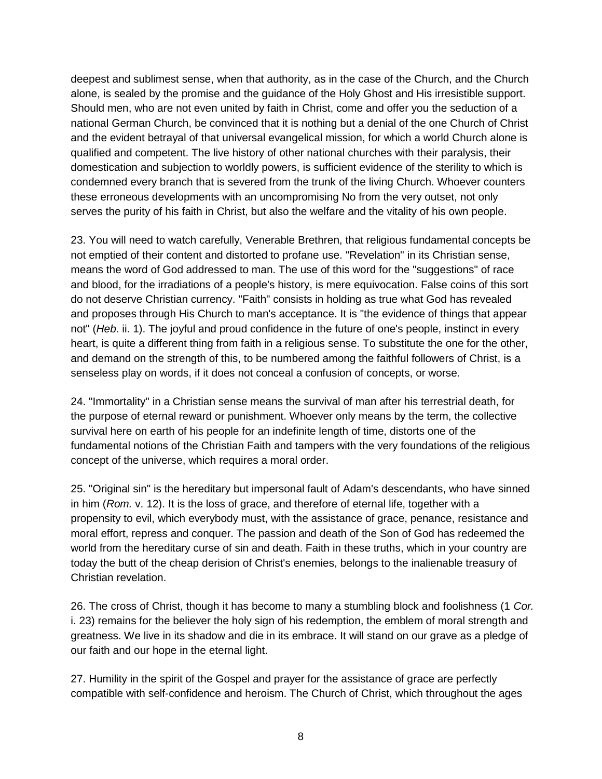deepest and sublimest sense, when that authority, as in the case of the Church, and the Church alone, is sealed by the promise and the guidance of the Holy Ghost and His irresistible support. Should men, who are not even united by faith in Christ, come and offer you the seduction of a national German Church, be convinced that it is nothing but a denial of the one Church of Christ and the evident betrayal of that universal evangelical mission, for which a world Church alone is qualified and competent. The live history of other national churches with their paralysis, their domestication and subjection to worldly powers, is sufficient evidence of the sterility to which is condemned every branch that is severed from the trunk of the living Church. Whoever counters these erroneous developments with an uncompromising No from the very outset, not only serves the purity of his faith in Christ, but also the welfare and the vitality of his own people.

23. You will need to watch carefully, Venerable Brethren, that religious fundamental concepts be not emptied of their content and distorted to profane use. "Revelation" in its Christian sense, means the word of God addressed to man. The use of this word for the "suggestions" of race and blood, for the irradiations of a people's history, is mere equivocation. False coins of this sort do not deserve Christian currency. "Faith" consists in holding as true what God has revealed and proposes through His Church to man's acceptance. It is "the evidence of things that appear not" (*Heb*. ii. 1). The joyful and proud confidence in the future of one's people, instinct in every heart, is quite a different thing from faith in a religious sense. To substitute the one for the other, and demand on the strength of this, to be numbered among the faithful followers of Christ, is a senseless play on words, if it does not conceal a confusion of concepts, or worse.

24. "Immortality" in a Christian sense means the survival of man after his terrestrial death, for the purpose of eternal reward or punishment. Whoever only means by the term, the collective survival here on earth of his people for an indefinite length of time, distorts one of the fundamental notions of the Christian Faith and tampers with the very foundations of the religious concept of the universe, which requires a moral order.

25. "Original sin" is the hereditary but impersonal fault of Adam's descendants, who have sinned in him (*Rom.* v. 12). It is the loss of grace, and therefore of eternal life, together with a propensity to evil, which everybody must, with the assistance of grace, penance, resistance and moral effort, repress and conquer. The passion and death of the Son of God has redeemed the world from the hereditary curse of sin and death. Faith in these truths, which in your country are today the butt of the cheap derision of Christ's enemies, belongs to the inalienable treasury of Christian revelation.

26. The cross of Christ, though it has become to many a stumbling block and foolishness (1 *Cor.* i. 23) remains for the believer the holy sign of his redemption, the emblem of moral strength and greatness. We live in its shadow and die in its embrace. It will stand on our grave as a pledge of our faith and our hope in the eternal light.

27. Humility in the spirit of the Gospel and prayer for the assistance of grace are perfectly compatible with self-confidence and heroism. The Church of Christ, which throughout the ages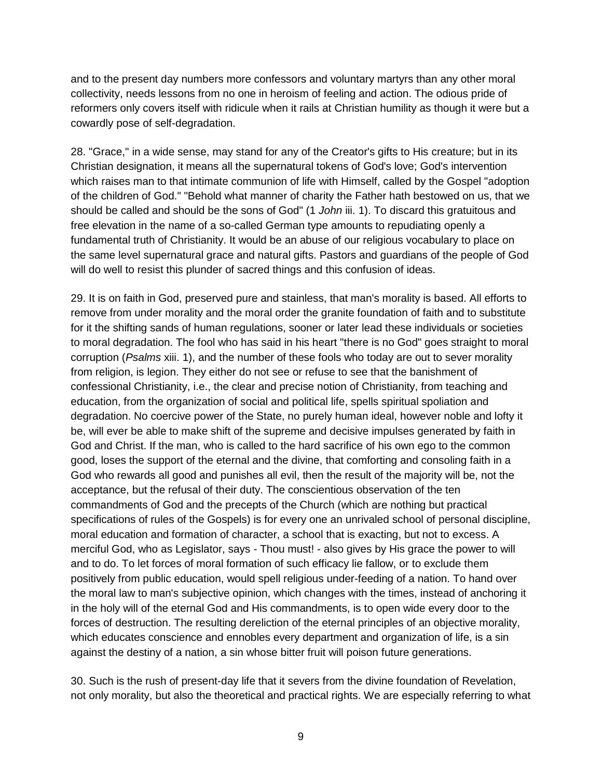and to the present day numbers more confessors and voluntary martyrs than any other moral collectivity, needs lessons from no one in heroism of feeling and action. The odious pride of reformers only covers itself with ridicule when it rails at Christian humility as though it were but a cowardly pose of self-degradation.

28. "Grace," in a wide sense, may stand for any of the Creator's gifts to His creature; but in its Christian designation, it means all the supernatural tokens of God's love; God's intervention which raises man to that intimate communion of life with Himself, called by the Gospel "adoption of the children of God." "Behold what manner of charity the Father hath bestowed on us, that we should be called and should be the sons of God" (1 *John* iii. 1). To discard this gratuitous and free elevation in the name of a so-called German type amounts to repudiating openly a fundamental truth of Christianity. It would be an abuse of our religious vocabulary to place on the same level supernatural grace and natural gifts. Pastors and guardians of the people of God will do well to resist this plunder of sacred things and this confusion of ideas.

29. It is on faith in God, preserved pure and stainless, that man's morality is based. All efforts to remove from under morality and the moral order the granite foundation of faith and to substitute for it the shifting sands of human regulations, sooner or later lead these individuals or societies to moral degradation. The fool who has said in his heart "there is no God" goes straight to moral corruption (*Psalms* xiii. 1), and the number of these fools who today are out to sever morality from religion, is legion. They either do not see or refuse to see that the banishment of confessional Christianity, i.e., the clear and precise notion of Christianity, from teaching and education, from the organization of social and political life, spells spiritual spoliation and degradation. No coercive power of the State, no purely human ideal, however noble and lofty it be, will ever be able to make shift of the supreme and decisive impulses generated by faith in God and Christ. If the man, who is called to the hard sacrifice of his own ego to the common good, loses the support of the eternal and the divine, that comforting and consoling faith in a God who rewards all good and punishes all evil, then the result of the majority will be, not the acceptance, but the refusal of their duty. The conscientious observation of the ten commandments of God and the precepts of the Church (which are nothing but practical specifications of rules of the Gospels) is for every one an unrivaled school of personal discipline, moral education and formation of character, a school that is exacting, but not to excess. A merciful God, who as Legislator, says - Thou must! - also gives by His grace the power to will and to do. To let forces of moral formation of such efficacy lie fallow, or to exclude them positively from public education, would spell religious under-feeding of a nation. To hand over the moral law to man's subjective opinion, which changes with the times, instead of anchoring it in the holy will of the eternal God and His commandments, is to open wide every door to the forces of destruction. The resulting dereliction of the eternal principles of an objective morality, which educates conscience and ennobles every department and organization of life, is a sin against the destiny of a nation, a sin whose bitter fruit will poison future generations.

30. Such is the rush of present-day life that it severs from the divine foundation of Revelation, not only morality, but also the theoretical and practical rights. We are especially referring to what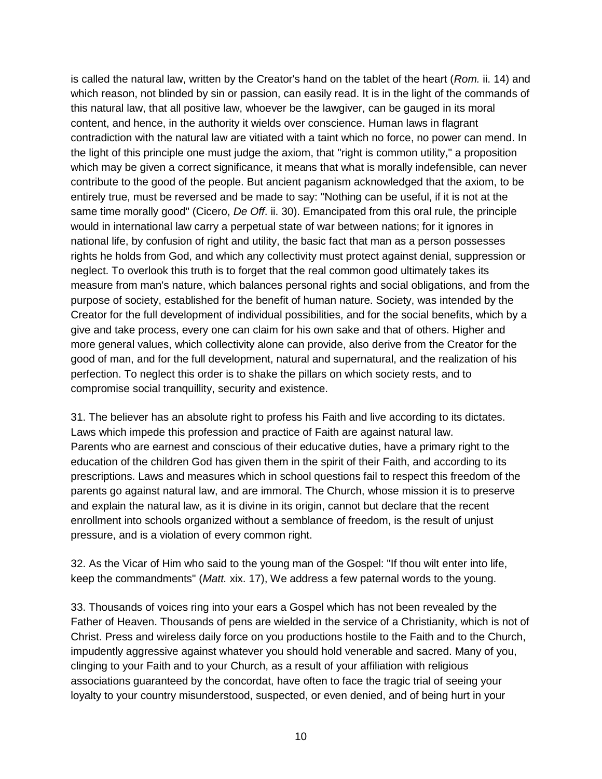is called the natural law, written by the Creator's hand on the tablet of the heart (*Rom.* ii. 14) and which reason, not blinded by sin or passion, can easily read. It is in the light of the commands of this natural law, that all positive law, whoever be the lawgiver, can be gauged in its moral content, and hence, in the authority it wields over conscience. Human laws in flagrant contradiction with the natural law are vitiated with a taint which no force, no power can mend. In the light of this principle one must judge the axiom, that "right is common utility," a proposition which may be given a correct significance, it means that what is morally indefensible, can never contribute to the good of the people. But ancient paganism acknowledged that the axiom, to be entirely true, must be reversed and be made to say: "Nothing can be useful, if it is not at the same time morally good" (Cicero, *De Off*. ii. 30). Emancipated from this oral rule, the principle would in international law carry a perpetual state of war between nations; for it ignores in national life, by confusion of right and utility, the basic fact that man as a person possesses rights he holds from God, and which any collectivity must protect against denial, suppression or neglect. To overlook this truth is to forget that the real common good ultimately takes its measure from man's nature, which balances personal rights and social obligations, and from the purpose of society, established for the benefit of human nature. Society, was intended by the Creator for the full development of individual possibilities, and for the social benefits, which by a give and take process, every one can claim for his own sake and that of others. Higher and more general values, which collectivity alone can provide, also derive from the Creator for the good of man, and for the full development, natural and supernatural, and the realization of his perfection. To neglect this order is to shake the pillars on which society rests, and to compromise social tranquillity, security and existence.

31. The believer has an absolute right to profess his Faith and live according to its dictates. Laws which impede this profession and practice of Faith are against natural law. Parents who are earnest and conscious of their educative duties, have a primary right to the education of the children God has given them in the spirit of their Faith, and according to its prescriptions. Laws and measures which in school questions fail to respect this freedom of the parents go against natural law, and are immoral. The Church, whose mission it is to preserve and explain the natural law, as it is divine in its origin, cannot but declare that the recent enrollment into schools organized without a semblance of freedom, is the result of unjust pressure, and is a violation of every common right.

32. As the Vicar of Him who said to the young man of the Gospel: "If thou wilt enter into life, keep the commandments" (*Matt.* xix. 17), We address a few paternal words to the young.

33. Thousands of voices ring into your ears a Gospel which has not been revealed by the Father of Heaven. Thousands of pens are wielded in the service of a Christianity, which is not of Christ. Press and wireless daily force on you productions hostile to the Faith and to the Church, impudently aggressive against whatever you should hold venerable and sacred. Many of you, clinging to your Faith and to your Church, as a result of your affiliation with religious associations guaranteed by the concordat, have often to face the tragic trial of seeing your loyalty to your country misunderstood, suspected, or even denied, and of being hurt in your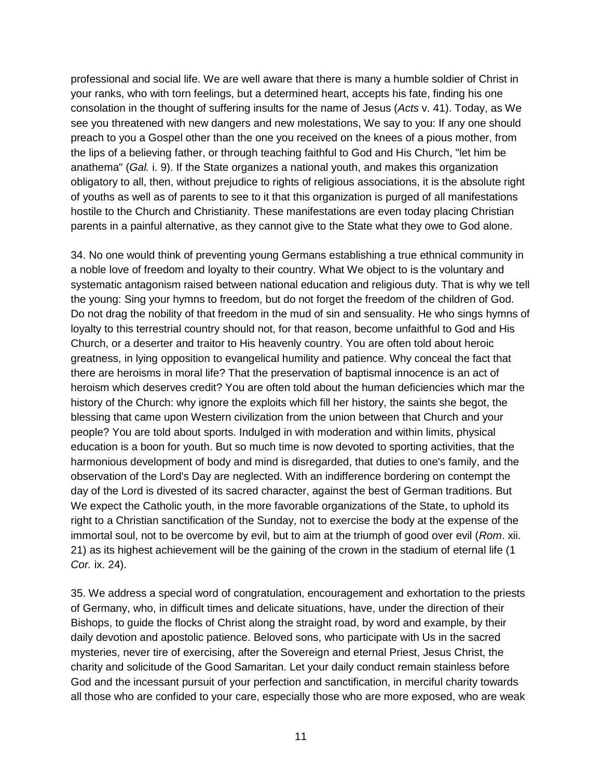professional and social life. We are well aware that there is many a humble soldier of Christ in your ranks, who with torn feelings, but a determined heart, accepts his fate, finding his one consolation in the thought of suffering insults for the name of Jesus (*Acts* v. 41). Today, as We see you threatened with new dangers and new molestations, We say to you: If any one should preach to you a Gospel other than the one you received on the knees of a pious mother, from the lips of a believing father, or through teaching faithful to God and His Church, "let him be anathema" (*Gal.* i. 9). If the State organizes a national youth, and makes this organization obligatory to all, then, without prejudice to rights of religious associations, it is the absolute right of youths as well as of parents to see to it that this organization is purged of all manifestations hostile to the Church and Christianity. These manifestations are even today placing Christian parents in a painful alternative, as they cannot give to the State what they owe to God alone.

34. No one would think of preventing young Germans establishing a true ethnical community in a noble love of freedom and loyalty to their country. What We object to is the voluntary and systematic antagonism raised between national education and religious duty. That is why we tell the young: Sing your hymns to freedom, but do not forget the freedom of the children of God. Do not drag the nobility of that freedom in the mud of sin and sensuality. He who sings hymns of loyalty to this terrestrial country should not, for that reason, become unfaithful to God and His Church, or a deserter and traitor to His heavenly country. You are often told about heroic greatness, in lying opposition to evangelical humility and patience. Why conceal the fact that there are heroisms in moral life? That the preservation of baptismal innocence is an act of heroism which deserves credit? You are often told about the human deficiencies which mar the history of the Church: why ignore the exploits which fill her history, the saints she begot, the blessing that came upon Western civilization from the union between that Church and your people? You are told about sports. Indulged in with moderation and within limits, physical education is a boon for youth. But so much time is now devoted to sporting activities, that the harmonious development of body and mind is disregarded, that duties to one's family, and the observation of the Lord's Day are neglected. With an indifference bordering on contempt the day of the Lord is divested of its sacred character, against the best of German traditions. But We expect the Catholic youth, in the more favorable organizations of the State, to uphold its right to a Christian sanctification of the Sunday, not to exercise the body at the expense of the immortal soul, not to be overcome by evil, but to aim at the triumph of good over evil (*Rom*. xii. 21) as its highest achievement will be the gaining of the crown in the stadium of eternal life (1 *Cor.* ix. 24).

35. We address a special word of congratulation, encouragement and exhortation to the priests of Germany, who, in difficult times and delicate situations, have, under the direction of their Bishops, to guide the flocks of Christ along the straight road, by word and example, by their daily devotion and apostolic patience. Beloved sons, who participate with Us in the sacred mysteries, never tire of exercising, after the Sovereign and eternal Priest, Jesus Christ, the charity and solicitude of the Good Samaritan. Let your daily conduct remain stainless before God and the incessant pursuit of your perfection and sanctification, in merciful charity towards all those who are confided to your care, especially those who are more exposed, who are weak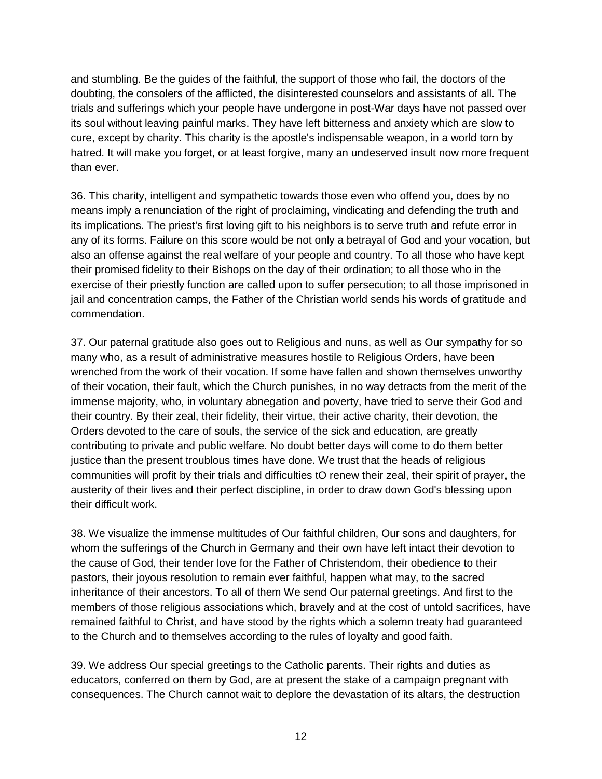and stumbling. Be the guides of the faithful, the support of those who fail, the doctors of the doubting, the consolers of the afflicted, the disinterested counselors and assistants of all. The trials and sufferings which your people have undergone in post-War days have not passed over its soul without leaving painful marks. They have left bitterness and anxiety which are slow to cure, except by charity. This charity is the apostle's indispensable weapon, in a world torn by hatred. It will make you forget, or at least forgive, many an undeserved insult now more frequent than ever.

36. This charity, intelligent and sympathetic towards those even who offend you, does by no means imply a renunciation of the right of proclaiming, vindicating and defending the truth and its implications. The priest's first loving gift to his neighbors is to serve truth and refute error in any of its forms. Failure on this score would be not only a betrayal of God and your vocation, but also an offense against the real welfare of your people and country. To all those who have kept their promised fidelity to their Bishops on the day of their ordination; to all those who in the exercise of their priestly function are called upon to suffer persecution; to all those imprisoned in jail and concentration camps, the Father of the Christian world sends his words of gratitude and commendation.

37. Our paternal gratitude also goes out to Religious and nuns, as well as Our sympathy for so many who, as a result of administrative measures hostile to Religious Orders, have been wrenched from the work of their vocation. If some have fallen and shown themselves unworthy of their vocation, their fault, which the Church punishes, in no way detracts from the merit of the immense majority, who, in voluntary abnegation and poverty, have tried to serve their God and their country. By their zeal, their fidelity, their virtue, their active charity, their devotion, the Orders devoted to the care of souls, the service of the sick and education, are greatly contributing to private and public welfare. No doubt better days will come to do them better justice than the present troublous times have done. We trust that the heads of religious communities will profit by their trials and difficulties tO renew their zeal, their spirit of prayer, the austerity of their lives and their perfect discipline, in order to draw down God's blessing upon their difficult work.

38. We visualize the immense multitudes of Our faithful children, Our sons and daughters, for whom the sufferings of the Church in Germany and their own have left intact their devotion to the cause of God, their tender love for the Father of Christendom, their obedience to their pastors, their joyous resolution to remain ever faithful, happen what may, to the sacred inheritance of their ancestors. To all of them We send Our paternal greetings. And first to the members of those religious associations which, bravely and at the cost of untold sacrifices, have remained faithful to Christ, and have stood by the rights which a solemn treaty had guaranteed to the Church and to themselves according to the rules of loyalty and good faith.

39. We address Our special greetings to the Catholic parents. Their rights and duties as educators, conferred on them by God, are at present the stake of a campaign pregnant with consequences. The Church cannot wait to deplore the devastation of its altars, the destruction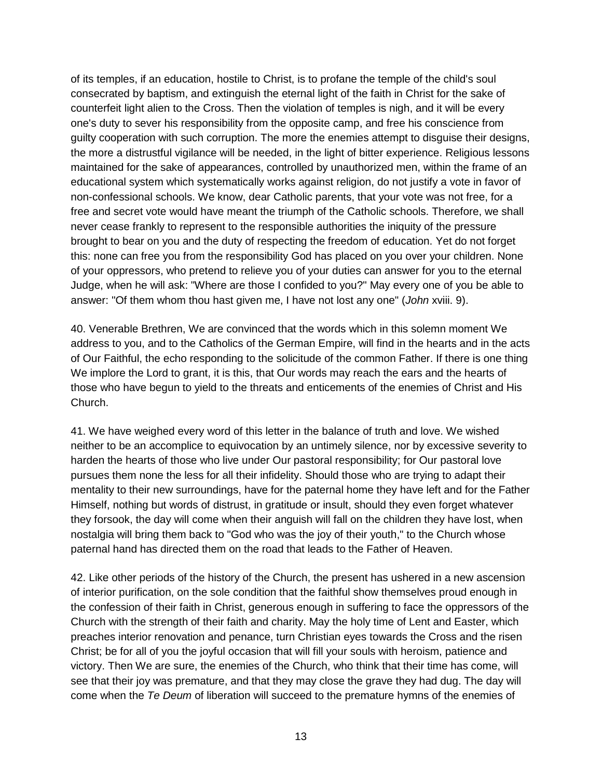of its temples, if an education, hostile to Christ, is to profane the temple of the child's soul consecrated by baptism, and extinguish the eternal light of the faith in Christ for the sake of counterfeit light alien to the Cross. Then the violation of temples is nigh, and it will be every one's duty to sever his responsibility from the opposite camp, and free his conscience from guilty cooperation with such corruption. The more the enemies attempt to disguise their designs, the more a distrustful vigilance will be needed, in the light of bitter experience. Religious lessons maintained for the sake of appearances, controlled by unauthorized men, within the frame of an educational system which systematically works against religion, do not justify a vote in favor of non-confessional schools. We know, dear Catholic parents, that your vote was not free, for a free and secret vote would have meant the triumph of the Catholic schools. Therefore, we shall never cease frankly to represent to the responsible authorities the iniquity of the pressure brought to bear on you and the duty of respecting the freedom of education. Yet do not forget this: none can free you from the responsibility God has placed on you over your children. None of your oppressors, who pretend to relieve you of your duties can answer for you to the eternal Judge, when he will ask: "Where are those I confided to you?" May every one of you be able to answer: "Of them whom thou hast given me, I have not lost any one" (*John* xviii. 9).

40. Venerable Brethren, We are convinced that the words which in this solemn moment We address to you, and to the Catholics of the German Empire, will find in the hearts and in the acts of Our Faithful, the echo responding to the solicitude of the common Father. If there is one thing We implore the Lord to grant, it is this, that Our words may reach the ears and the hearts of those who have begun to yield to the threats and enticements of the enemies of Christ and His Church.

41. We have weighed every word of this letter in the balance of truth and love. We wished neither to be an accomplice to equivocation by an untimely silence, nor by excessive severity to harden the hearts of those who live under Our pastoral responsibility; for Our pastoral love pursues them none the less for all their infidelity. Should those who are trying to adapt their mentality to their new surroundings, have for the paternal home they have left and for the Father Himself, nothing but words of distrust, in gratitude or insult, should they even forget whatever they forsook, the day will come when their anguish will fall on the children they have lost, when nostalgia will bring them back to "God who was the joy of their youth," to the Church whose paternal hand has directed them on the road that leads to the Father of Heaven.

42. Like other periods of the history of the Church, the present has ushered in a new ascension of interior purification, on the sole condition that the faithful show themselves proud enough in the confession of their faith in Christ, generous enough in suffering to face the oppressors of the Church with the strength of their faith and charity. May the holy time of Lent and Easter, which preaches interior renovation and penance, turn Christian eyes towards the Cross and the risen Christ; be for all of you the joyful occasion that will fill your souls with heroism, patience and victory. Then We are sure, the enemies of the Church, who think that their time has come, will see that their joy was premature, and that they may close the grave they had dug. The day will come when the *Te Deum* of liberation will succeed to the premature hymns of the enemies of